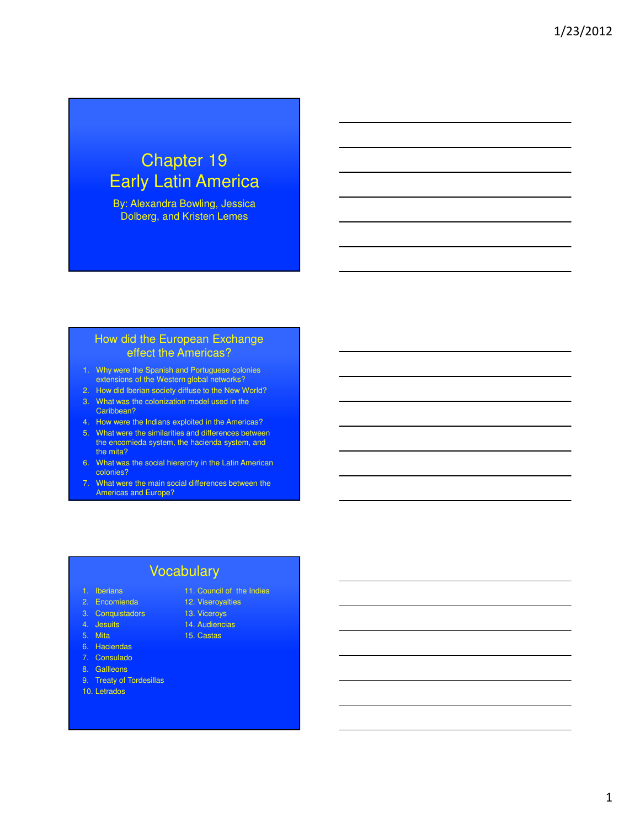# Chapter 19 Early Latin America

By: Alexandra Bowling, Jessica Dolberg, and Kristen Lemes

#### How did the European Exchange effect the Americas?

- 1. Why were the Spanish and Portuguese colonies extensions of the Western global networks?
- 2. How did Iberian society diffuse to the New World?
- 3. What was the colonization model used in the Caribbean?
- 4. How were the Indians exploited in the Americas?
- 5. What were the similarities and differences between the encomieda system, the hacienda system, and the mita?
- 6. What was the social hierarchy in the Latin American colonies?
- 7. What were the main social differences between the Americas and Europe?

#### Vocabulary

- 1. Iberians
- 2. Encomienda
- 3. Conquistadors
- 
- 4. Jesuits 5. Mita
- 6. Haciendas
- 7. Consulado
- 8. Gallleons
- 9. Treaty of Tordesillas
- 10. Letrados
- 11. Council of the Indies 12. Viseroyalties
- 13. Viceroys
- 14. Audiencias
- 15. Castas
- 
- -
-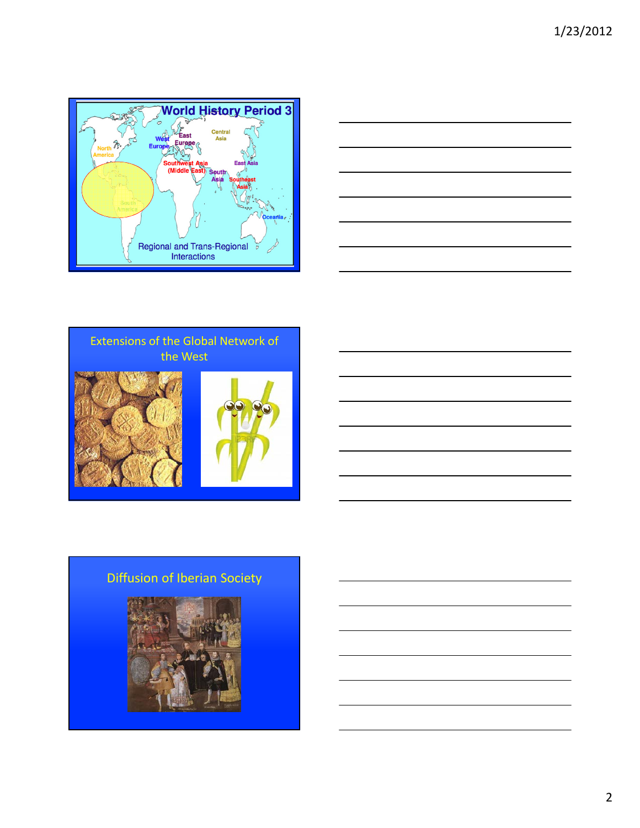





## Diffusion of Iberian Society

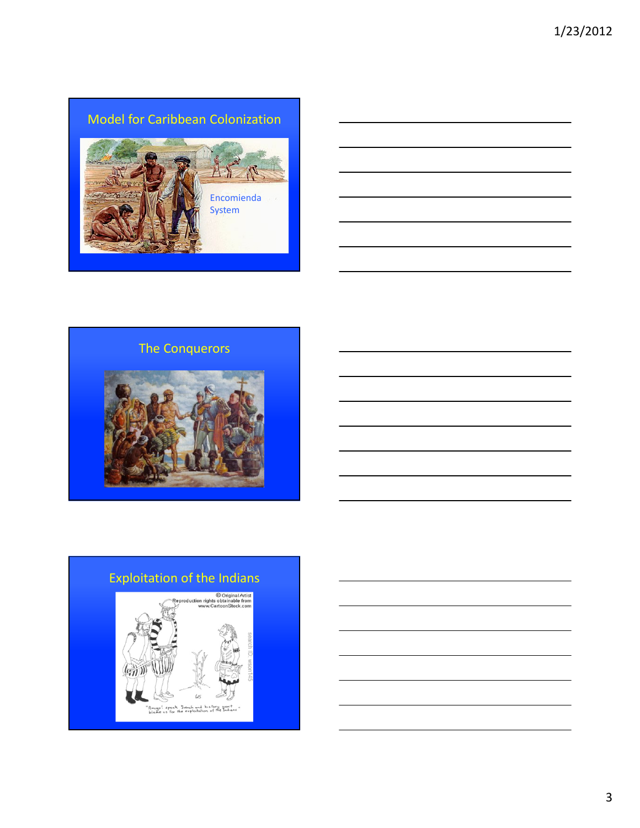Model for Caribbean Colonization



### The Conquerors



# Exploitation of the Indians© Original Artist<br>Reproduction rights obtainable from<br>www.CartoonStock.com GATT W  $\omega$ "Amigo". speak "french and history won't<br>"Amigo". speak "french and history won't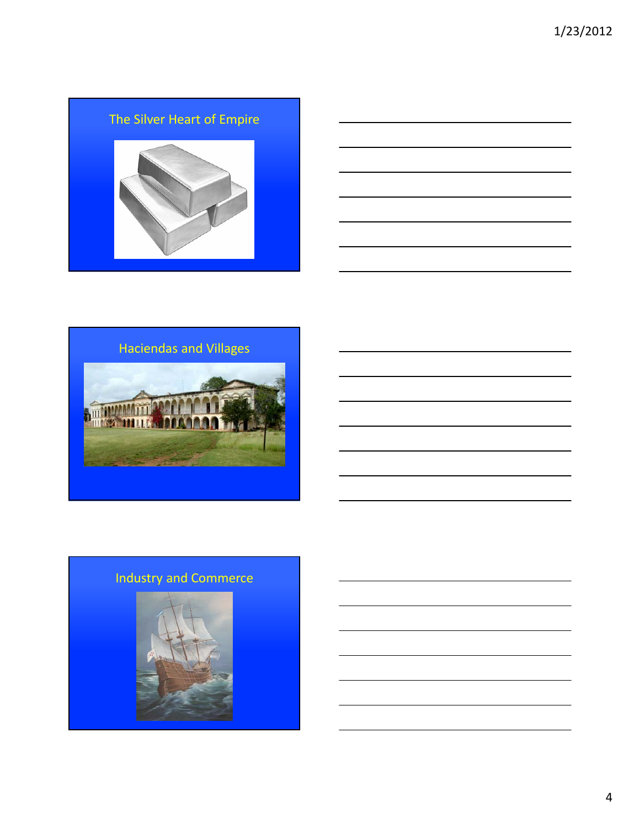





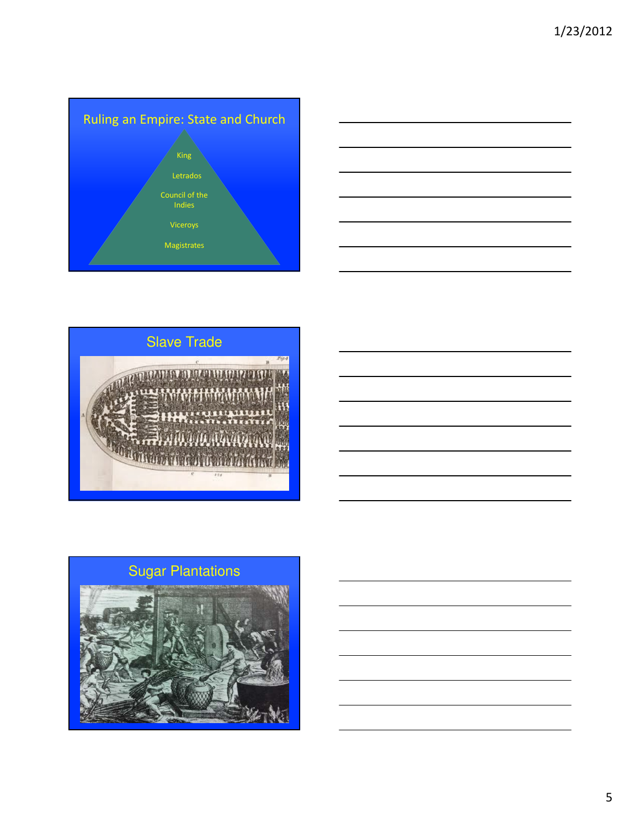





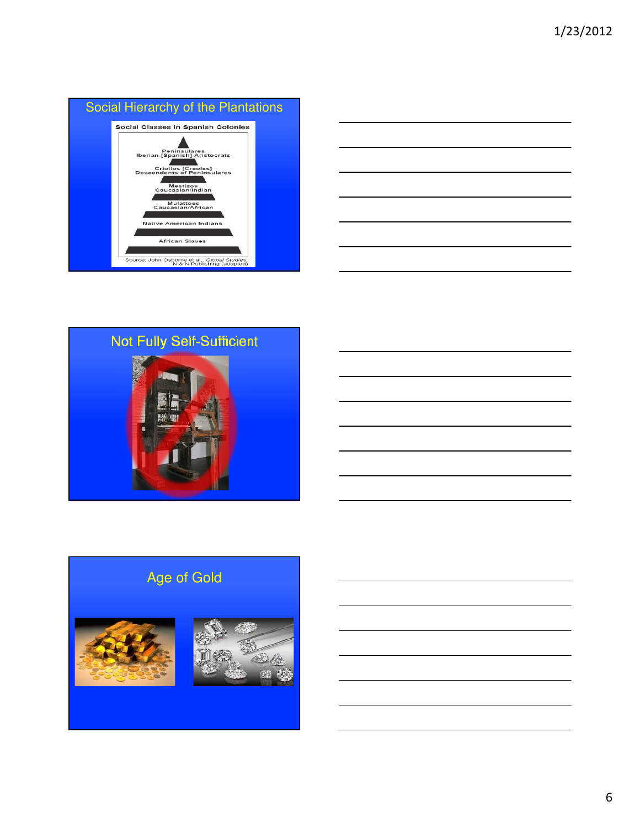